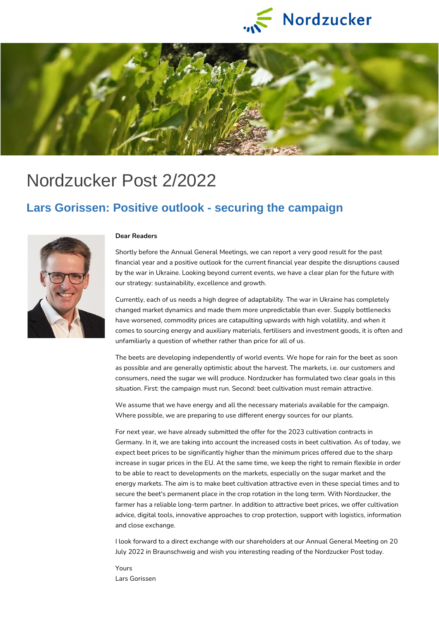



# Nordzucker Post 2/2022

#### **Lars Gorissen: Positive outlook - securing the campaign**



#### **Dear Readers**

Shortly before the Annual General Meetings, we can report a very good result for the past financial year and a positive outlook for the current financial year despite the disruptions caused by the war in Ukraine. Looking beyond current events, we have a clear plan for the future with our strategy: sustainability, excellence and growth.

Currently, each of us needs a high degree of adaptability. The war in Ukraine has completely changed market dynamics and made them more unpredictable than ever. Supply bottlenecks have worsened, commodity prices are catapulting upwards with high volatility, and when it comes to sourcing energy and auxiliary materials, fertilisers and investment goods, it is often and unfamiliarly a question of whether rather than price for all of us.

The beets are developing independently of world events. We hope for rain for the beet as soon as possible and are generally optimistic about the harvest. The markets, i.e. our customers and consumers, need the sugar we will produce. Nordzucker has formulated two clear goals in this situation. First: the campaign must run. Second: beet cultivation must remain attractive.

We assume that we have energy and all the necessary materials available for the campaign. Where possible, we are preparing to use different energy sources for our plants.

For next year, we have already submitted the offer for the 2023 cultivation contracts in Germany. In it, we are taking into account the increased costs in beet cultivation. As of today, we expect beet prices to be significantly higher than the minimum prices offered due to the sharp increase in sugar prices in the EU. At the same time, we keep the right to remain flexible in order to be able to react to developments on the markets, especially on the sugar market and the energy markets. The aim is to make beet cultivation attractive even in these special times and to secure the beet's permanent place in the crop rotation in the long term. With Nordzucker, the farmer has a reliable long-term partner. In addition to attractive beet prices, we offer cultivation advice, digital tools, innovative approaches to crop protection, support with logistics, information and close exchange.

I look forward to a direct exchange with our shareholders at our Annual General Meeting on 20 July 2022 in Braunschweig and wish you interesting reading of the Nordzucker Post today.

Yours Lars Gorissen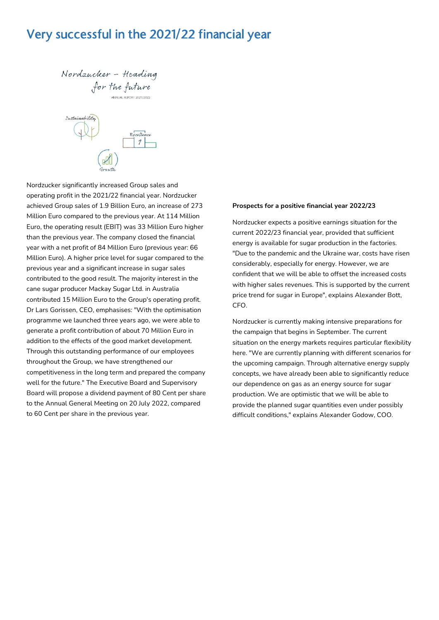### Very successful in the 2021/22 financial year

Nordzucker - Heading for the future

Sustainability Excellence  $\mathcal{I}$ 

Nordzucker significantly increased Group sales and operating profit in the 2021/22 financial year. Nordzucker achieved Group sales of 1.9 Billion Euro, an increase of 273 Million Euro compared to the previous year. At 114 Million Euro, the operating result (EBIT) was 33 Million Euro higher than the previous year. The company closed the financial year with a net profit of 84 Million Euro (previous year: 66 Million Euro). A higher price level for sugar compared to the previous year and a significant increase in sugar sales contributed to the good result. The majority interest in the cane sugar producer Mackay Sugar Ltd. in Australia contributed 15 Million Euro to the Group's operating profit. Dr Lars Gorissen, CEO, emphasises: "With the optimisation programme we launched three years ago, we were able to generate a profit contribution of about 70 Million Euro in addition to the effects of the good market development. Through this outstanding performance of our employees throughout the Group, we have strengthened our competitiveness in the long term and prepared the company well for the future." The Executive Board and Supervisory Board will propose a dividend payment of 80 Cent per share to the Annual General Meeting on 20 July 2022, compared to 60 Cent per share in the previous year.

#### **Prospects for a positive financial year 2022/23**

Nordzucker expects a positive earnings situation for the current 2022/23 financial year, provided that sufficient energy is available for sugar production in the factories. "Due to the pandemic and the Ukraine war, costs have risen considerably, especially for energy. However, we are confident that we will be able to offset the increased costs with higher sales revenues. This is supported by the current price trend for sugar in Europe", explains Alexander Bott, CFO.

Nordzucker is currently making intensive preparations for the campaign that begins in September. The current situation on the energy markets requires particular flexibility here. "We are currently planning with different scenarios for the upcoming campaign. Through alternative energy supply concepts, we have already been able to significantly reduce our dependence on gas as an energy source for sugar production. We are optimistic that we will be able to provide the planned sugar quantities even under possibly difficult conditions," explains Alexander Godow, COO.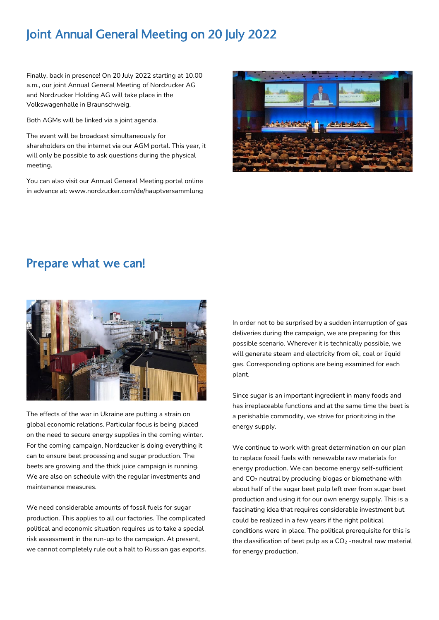## Joint Annual General Meeting on 20 July 2022

Finally, back in presence! On 20 July 2022 starting at 10.00 a.m., our joint Annual General Meeting of Nordzucker AG and Nordzucker Holding AG will take place in the Volkswagenhalle in Braunschweig.

Both AGMs will be linked via a joint agenda.

The event will be broadcast simultaneously for shareholders on the internet via our AGM portal. This year, it will only be possible to ask questions during the physical meeting.

You can also visit our Annual General Meeting portal online in advance at: www.nordzucker.com/de/hauptversammlung



#### Prepare what we can!



The effects of the war in Ukraine are putting a strain on global economic relations. Particular focus is being placed on the need to secure energy supplies in the coming winter. For the coming campaign, Nordzucker is doing everything it can to ensure beet processing and sugar production. The beets are growing and the thick juice campaign is running. We are also on schedule with the regular investments and maintenance measures.

We need considerable amounts of fossil fuels for sugar production. This applies to all our factories. The complicated political and economic situation requires us to take a special risk assessment in the run-up to the campaign. At present, we cannot completely rule out a halt to Russian gas exports.

In order not to be surprised by a sudden interruption of gas deliveries during the campaign, we are preparing for this possible scenario. Wherever it is technically possible, we will generate steam and electricity from oil, coal or liquid gas. Corresponding options are being examined for each plant.

Since sugar is an important ingredient in many foods and has irreplaceable functions and at the same time the beet is a perishable commodity, we strive for prioritizing in the energy supply.

We continue to work with great determination on our plan to replace fossil fuels with renewable raw materials for energy production. We can become energy self-sufficient and CO<sub>2</sub> neutral by producing biogas or biomethane with about half of the sugar beet pulp left over from sugar beet production and using it for our own energy supply. This is a fascinating idea that requires considerable investment but could be realized in a few years if the right political conditions were in place. The political prerequisite for this is the classification of beet pulp as a  $CO<sub>2</sub>$  -neutral raw material for energy production.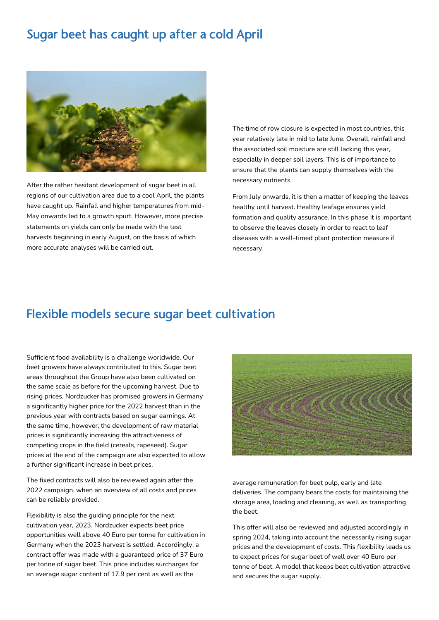### Sugar beet has caught up after a cold April



After the rather hesitant development of sugar beet in all regions of our cultivation area due to a cool April, the plants have caught up. Rainfall and higher temperatures from mid-May onwards led to a growth spurt. However, more precise statements on yields can only be made with the test harvests beginning in early August, on the basis of which more accurate analyses will be carried out.

The time of row closure is expected in most countries, this year relatively late in mid to late June. Overall, rainfall and the associated soil moisture are still lacking this year, especially in deeper soil layers. This is of importance to ensure that the plants can supply themselves with the necessary nutrients.

From July onwards, it is then a matter of keeping the leaves healthy until harvest. Healthy leafage ensures yield formation and quality assurance. In this phase it is important to observe the leaves closely in order to react to leaf diseases with a well-timed plant protection measure if necessary.

### Flexible models secure sugar beet cultivation

Sufficient food availability is a challenge worldwide. Our beet growers have always contributed to this. Sugar beet areas throughout the Group have also been cultivated on the same scale as before for the upcoming harvest. Due to rising prices, Nordzucker has promised growers in Germany a significantly higher price for the 2022 harvest than in the previous year with contracts based on sugar earnings. At the same time, however, the development of raw material prices is significantly increasing the attractiveness of competing crops in the field (cereals, rapeseed). Sugar prices at the end of the campaign are also expected to allow a further significant increase in beet prices.

The fixed contracts will also be reviewed again after the 2022 campaign, when an overview of all costs and prices can be reliably provided.

Flexibility is also the guiding principle for the next cultivation year, 2023. Nordzucker expects beet price opportunities well above 40 Euro per tonne for cultivation in Germany when the 2023 harvest is settled. Accordingly, a contract offer was made with a guaranteed price of 37 Euro per tonne of sugar beet. This price includes surcharges for an average sugar content of 17.9 per cent as well as the



average remuneration for beet pulp, early and late deliveries. The company bears the costs for maintaining the storage area, loading and cleaning, as well as transporting the beet.

This offer will also be reviewed and adjusted accordingly in spring 2024, taking into account the necessarily rising sugar prices and the development of costs. This flexibility leads us to expect prices for sugar beet of well over 40 Euro per tonne of beet. A model that keeps beet cultivation attractive and secures the sugar supply.